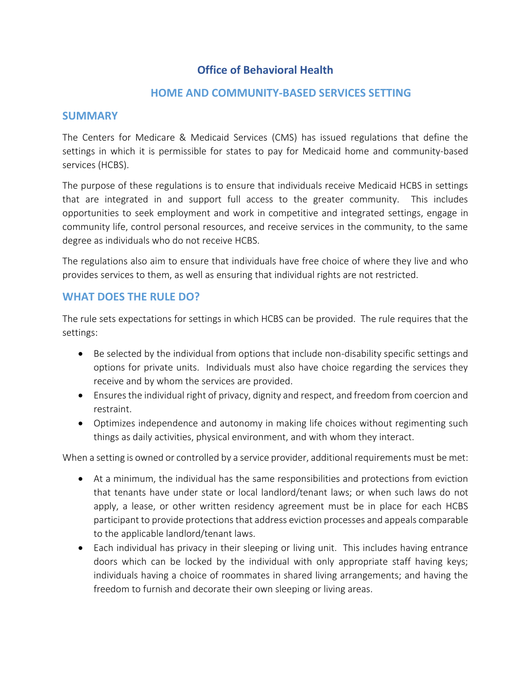# **Office of Behavioral Health**

#### **HOME AND COMMUNITY-BASED SERVICES SETTING**

#### **SUMMARY**

The Centers for Medicare & Medicaid Services (CMS) has issued regulations that define the settings in which it is permissible for states to pay for Medicaid home and community-based services (HCBS).

The purpose of these regulations is to ensure that individuals receive Medicaid HCBS in settings that are integrated in and support full access to the greater community. This includes opportunities to seek employment and work in competitive and integrated settings, engage in community life, control personal resources, and receive services in the community, to the same degree as individuals who do not receive HCBS.

The regulations also aim to ensure that individuals have free choice of where they live and who provides services to them, as well as ensuring that individual rights are not restricted.

### **WHAT DOES THE RULE DO?**

The rule sets expectations for settings in which HCBS can be provided. The rule requires that the settings:

- Be selected by the individual from options that include non-disability specific settings and options for private units. Individuals must also have choice regarding the services they receive and by whom the services are provided.
- Ensures the individual right of privacy, dignity and respect, and freedom from coercion and restraint.
- Optimizes independence and autonomy in making life choices without regimenting such things as daily activities, physical environment, and with whom they interact.

When a setting is owned or controlled by a service provider, additional requirements must be met:

- At a minimum, the individual has the same responsibilities and protections from eviction that tenants have under state or local landlord/tenant laws; or when such laws do not apply, a lease, or other written residency agreement must be in place for each HCBS participant to provide protections that address eviction processes and appeals comparable to the applicable landlord/tenant laws.
- Each individual has privacy in their sleeping or living unit. This includes having entrance doors which can be locked by the individual with only appropriate staff having keys; individuals having a choice of roommates in shared living arrangements; and having the freedom to furnish and decorate their own sleeping or living areas.